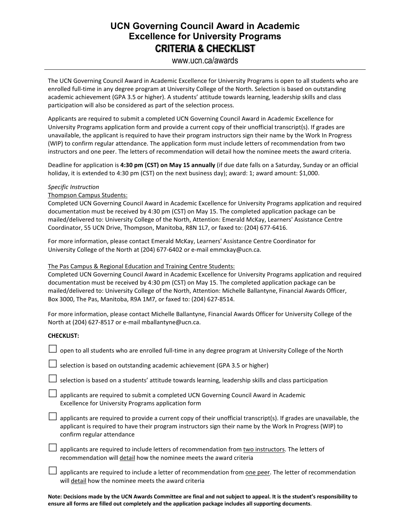## **UCN Governing Council Award in Academic Excellence for University Programs CRITERIA & CHECKLIST**

### www.ucn.ca/awards

The UCN Governing Council Award in Academic Excellence for University Programs is open to all students who are enrolled full-time in any degree program at University College of the North. Selection is based on outstanding academic achievement (GPA 3.5 or higher). A students' attitude towards learning, leadership skills and class participation will also be considered as part of the selection process.

Applicants are required to submit a completed UCN Governing Council Award in Academic Excellence for University Programs application form and provide a current copy of their unofficial transcript(s). If grades are unavailable, the applicant is required to have their program instructors sign their name by the Work In Progress (WIP) to confirm regular attendance. The application form must include letters of recommendation from two instructors and one peer. The letters of recommendation will detail how the nominee meets the award criteria.

Deadline for application is **4:30 pm (CST) on May 15 annually** (if due date falls on a Saturday, Sunday or an official holiday, it is extended to 4:30 pm (CST) on the next business day); award: 1; award amount: \$1,000.

#### *Specific Instruction*

Thompson Campus Students:

Completed UCN Governing Council Award in Academic Excellence for University Programs application and required documentation must be received by 4:30 pm (CST) on May 15. The completed application package can be mailed/delivered to: University College of the North, Attention: Emerald McKay, Learners' Assistance Centre Coordinator, 55 UCN Drive, Thompson, Manitoba, R8N 1L7, or faxed to: (204) 677-6416.

For more information, please contact Emerald McKay, Learners' Assistance Centre Coordinator for University College of the North at (204) 677-6402 or e-mail emmckay@ucn.ca.

#### The Pas Campus & Regional Education and Training Centre Students:

Completed UCN Governing Council Award in Academic Excellence for University Programs application and required documentation must be received by 4:30 pm (CST) on May 15. The completed application package can be mailed/delivered to: University College of the North, Attention: Michelle Ballantyne, Financial Awards Officer, Box 3000, The Pas, Manitoba, R9A 1M7, or faxed to: (204) 627-8514.

For more information, please contact Michelle Ballantyne, Financial Awards Officer for University College of the North at (204) 627-8517 or e-mail mballantyne@ucn.ca.

#### **CHECKLIST:**

|  | $\Box$ open to all students who are enrolled full-time in any degree program at University College of the North |
|--|-----------------------------------------------------------------------------------------------------------------|
|--|-----------------------------------------------------------------------------------------------------------------|

 $\Box$  selection is based on outstanding academic achievement (GPA 3.5 or higher)

 $\Box$  selection is based on a students' attitude towards learning, leadership skills and class participation

 $\Box$  applicants are required to submit a completed UCN Governing Council Award in Academic Excellence for University Programs application form

 $\Box$  applicants are required to provide a current copy of their unofficial transcript(s). If grades are unavailable, the applicant is required to have their program instructors sign their name by the Work In Progress (WIP) to confirm regular attendance

 $\Box$  applicants are required to include letters of recommendation from two instructors. The letters of recommendation will detail how the nominee meets the award criteria

 $\Box$  applicants are required to include a letter of recommendation from one peer. The letter of recommendation will detail how the nominee meets the award criteria

**Note: Decisions made by the UCN Awards Committee are final and not subject to appeal. It is the student's responsibility to ensure all forms are filled out completely and the application package includes all supporting documents**.